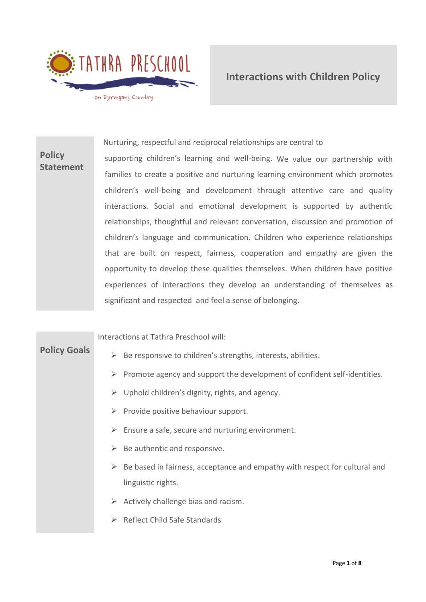

**Policy Statement** Nurturing, respectful and reciprocal relationships are central to supporting children's learning and well-being. We value our partnership with families to create a positive and nurturing learning environment which promotes children's well-being and development through attentive care and quality interactions. Social and emotional development is supported by authentic relationships, thoughtful and relevant conversation, discussion and promotion of children's language and communication. Children who experience relationships that are built on respect, fairness, cooperation and empathy are given the opportunity to develop these qualities themselves. When children have positive experiences of interactions they develop an understanding of themselves as significant and respected and feel a sense of belonging.

Interactions at Tathra Preschool will:

# **Policy Goals**

- $\triangleright$  Be responsive to children's strengths, interests, abilities.
- $\triangleright$  Promote agency and support the development of confident self-identities.
- $\triangleright$  Uphold children's dignity, rights, and agency.
- $\triangleright$  Provide positive behaviour support.
- $\triangleright$  Ensure a safe, secure and nurturing environment.
- $\triangleright$  Be authentic and responsive.
- $\triangleright$  Be based in fairness, acceptance and empathy with respect for cultural and linguistic rights.
- $\triangleright$  Actively challenge bias and racism.
- ➢ Reflect Child Safe Standards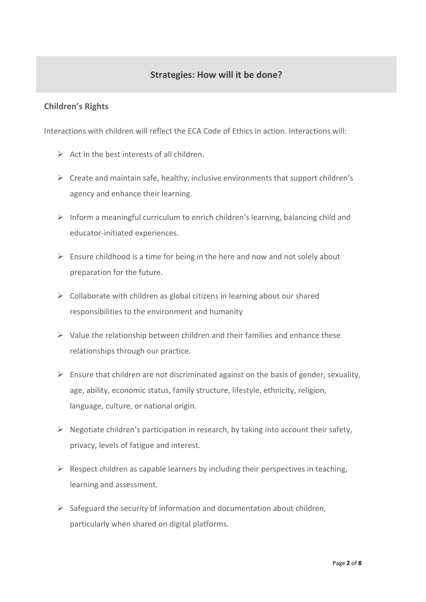# **Strategies: How will it be done?**

### **Children's Rights**

Interactions with children will reflect the ECA Code of Ethics in action. Interactions will:

- $\triangleright$  Act in the best interests of all children
- $\triangleright$  Create and maintain safe, healthy, inclusive environments that support children's agency and enhance their learning.
- ➢ Inform a meaningful curriculum to enrich children's learning, balancing child and educator-initiated experiences.
- $\triangleright$  Ensure childhood is a time for being in the here and now and not solely about preparation for the future.
- $\triangleright$  Collaborate with children as global citizens in learning about our shared responsibilities to the environment and humanity
- $\triangleright$  Value the relationship between children and their families and enhance these relationships through our practice.
- $\triangleright$  Ensure that children are not discriminated against on the basis of gender, sexuality, age, ability, economic status, family structure, lifestyle, ethnicity, religion, language, culture, or national origin.
- $\triangleright$  Negotiate children's participation in research, by taking into account their safety, privacy, levels of fatigue and interest.
- $\triangleright$  Respect children as capable learners by including their perspectives in teaching, learning and assessment.
- $\triangleright$  Safeguard the security of information and documentation about children, particularly when shared on digital platforms.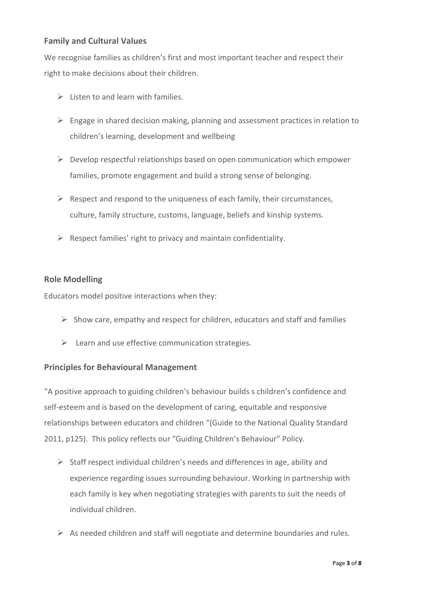### **Family and Cultural Values**

We recognise families as children's first and most important teacher and respect their right to make decisions about their children.

- $\triangleright$  Listen to and learn with families.
- ➢ Engage in shared decision making, planning and assessment practices in relation to children's learning, development and wellbeing
- $\triangleright$  Develop respectful relationships based on open communication which empower families, promote engagement and build a strong sense of belonging.
- $\triangleright$  Respect and respond to the uniqueness of each family, their circumstances, culture, family structure, customs, language, beliefs and kinship systems.
- $\triangleright$  Respect families' right to privacy and maintain confidentiality.

### **Role Modelling**

Educators model positive interactions when they:

- $\triangleright$  Show care, empathy and respect for children, educators and staff and families
- $\triangleright$  Learn and use effective communication strategies.

### **Principles for Behavioural Management**

"A positive approach to guiding children's behaviour builds s children's confidence and self-esteem and is based on the development of caring, equitable and responsive relationships between educators and children "(Guide to the National Quality Standard 2011, p125). This policy reflects our "Guiding Children's Behaviour" Policy.

- $\triangleright$  Staff respect individual children's needs and differences in age, ability and experience regarding issues surrounding behaviour. Working in partnership with each family is key when negotiating strategies with parents to suit the needs of individual children.
- ➢ As needed children and staff will negotiate and determine boundaries and rules.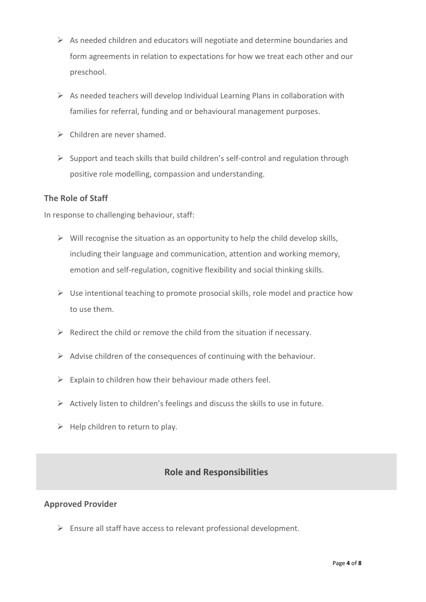- ➢ As needed children and educators will negotiate and determine boundaries and form agreements in relation to expectations for how we treat each other and our preschool.
- $\triangleright$  As needed teachers will develop Individual Learning Plans in collaboration with families for referral, funding and or behavioural management purposes.
- ➢ Children are never shamed.
- $\triangleright$  Support and teach skills that build children's self-control and regulation through positive role modelling, compassion and understanding.

### **The Role of Staff**

In response to challenging behaviour, staff:

- $\triangleright$  Will recognise the situation as an opportunity to help the child develop skills, including their language and communication, attention and working memory, emotion and self-regulation, cognitive flexibility and social thinking skills.
- $\triangleright$  Use intentional teaching to promote prosocial skills, role model and practice how to use them.
- ➢ Redirect the child or remove the child from the situation if necessary.
- $\triangleright$  Advise children of the consequences of continuing with the behaviour.
- $\triangleright$  Explain to children how their behaviour made others feel.
- $\triangleright$  Actively listen to children's feelings and discuss the skills to use in future.
- $\triangleright$  Help children to return to play.

### **Role and Responsibilities**

#### **Approved Provider**

 $\triangleright$  Ensure all staff have access to relevant professional development.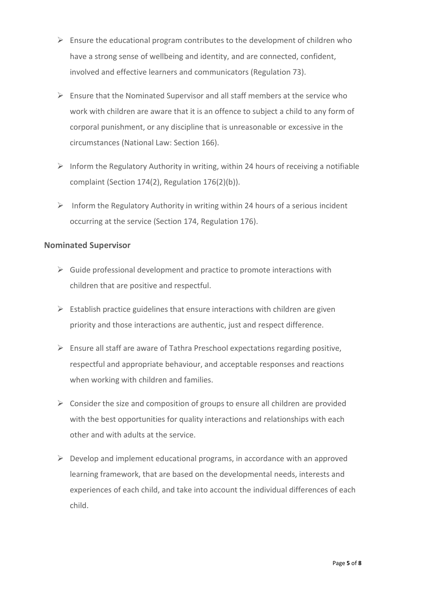- $\triangleright$  Ensure the educational program contributes to the development of children who have a strong sense of wellbeing and identity, and are connected, confident, involved and effective learners and communicators (Regulation 73).
- $\triangleright$  Ensure that the Nominated Supervisor and all staff members at the service who work with children are aware that it is an offence to subject a child to any form of corporal punishment, or any discipline that is unreasonable or excessive in the circumstances (National Law: Section 166).
- $\triangleright$  Inform the Regulatory Authority in writing, within 24 hours of receiving a notifiable complaint (Section 174(2), Regulation 176(2)(b)).
- $\triangleright$  Inform the Regulatory Authority in writing within 24 hours of a serious incident occurring at the service (Section 174, Regulation 176).

### **Nominated Supervisor**

- $\triangleright$  Guide professional development and practice to promote interactions with children that are positive and respectful.
- $\triangleright$  Establish practice guidelines that ensure interactions with children are given priority and those interactions are authentic, just and respect difference.
- $\triangleright$  Ensure all staff are aware of Tathra Preschool expectations regarding positive, respectful and appropriate behaviour, and acceptable responses and reactions when working with children and families.
- $\triangleright$  Consider the size and composition of groups to ensure all children are provided with the best opportunities for quality interactions and relationships with each other and with adults at the service.
- $\triangleright$  Develop and implement educational programs, in accordance with an approved learning framework, that are based on the developmental needs, interests and experiences of each child, and take into account the individual differences of each child.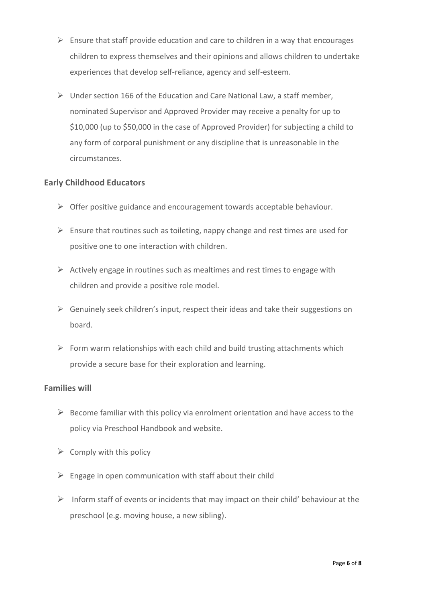- $\triangleright$  Ensure that staff provide education and care to children in a way that encourages children to express themselves and their opinions and allows children to undertake experiences that develop self-reliance, agency and self-esteem.
- ➢ Under section 166 of the Education and Care National Law, a staff member, nominated Supervisor and Approved Provider may receive a penalty for up to \$10,000 (up to \$50,000 in the case of Approved Provider) for subjecting a child to any form of corporal punishment or any discipline that is unreasonable in the circumstances.

### **Early Childhood Educators**

- ➢ Offer positive guidance and encouragement towards acceptable behaviour.
- $\triangleright$  Ensure that routines such as toileting, nappy change and rest times are used for positive one to one interaction with children.
- $\triangleright$  Actively engage in routines such as mealtimes and rest times to engage with children and provide a positive role model.
- $\triangleright$  Genuinely seek children's input, respect their ideas and take their suggestions on board.
- $\triangleright$  Form warm relationships with each child and build trusting attachments which provide a secure base for their exploration and learning.

### **Families will**

- $\triangleright$  Become familiar with this policy via enrolment orientation and have access to the policy via Preschool Handbook and website.
- $\triangleright$  Comply with this policy
- $\triangleright$  Engage in open communication with staff about their child
- $\triangleright$  Inform staff of events or incidents that may impact on their child' behaviour at the preschool (e.g. moving house, a new sibling).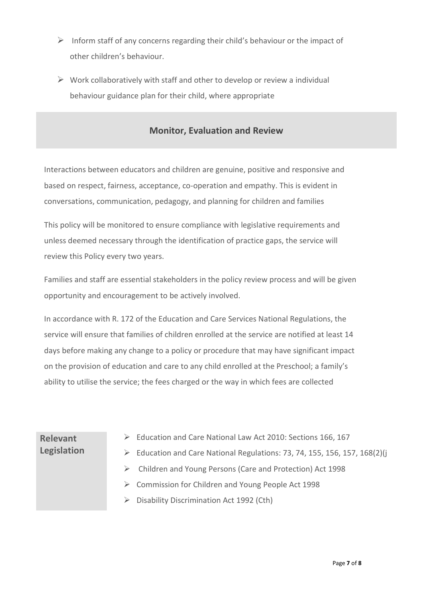- $\triangleright$  Inform staff of any concerns regarding their child's behaviour or the impact of other children's behaviour.
- $\triangleright$  Work collaboratively with staff and other to develop or review a individual behaviour guidance plan for their child, where appropriate

### **Monitor, Evaluation and Review**

Interactions between educators and children are genuine, positive and responsive and based on respect, fairness, acceptance, co-operation and empathy. This is evident in conversations, communication, pedagogy, and planning for children and families

This policy will be monitored to ensure compliance with legislative requirements and unless deemed necessary through the identification of practice gaps, the service will review this Policy every two years.

Families and staff are essential stakeholders in the policy review process and will be given opportunity and encouragement to be actively involved.

In accordance with R. 172 of the Education and Care Services National Regulations, the service will ensure that families of children enrolled at the service are notified at least 14 days before making any change to a policy or procedure that may have significant impact on the provision of education and care to any child enrolled at the Preschool; a family's ability to utilise the service; the fees charged or the way in which fees are collected

# **Relevant Legislation**

- ➢ Education and Care National Law Act 2010: Sections 166, 167
- ➢ Education and Care National Regulations: 73, 74, 155, 156, 157, 168(2)(j
- ➢ Children and Young Persons (Care and Protection) Act 1998
- ➢ Commission for Children and Young People Act 1998
- ➢ Disability Discrimination Act 1992 (Cth)